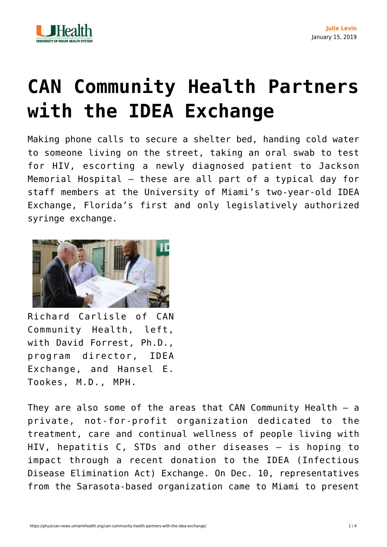

## **[CAN Community Health Partners](https://physician-news.umiamihealth.org/can-community-health-partners-with-the-idea-exchange/) [with the IDEA Exchange](https://physician-news.umiamihealth.org/can-community-health-partners-with-the-idea-exchange/)**

Making phone calls to secure a shelter bed, handing cold water to someone living on the street, taking an oral swab to test for HIV, escorting a newly diagnosed patient to Jackson Memorial Hospital – these are all part of a typical day for staff members at the University of Miami's two-year-old IDEA Exchange, Florida's first and only legislatively authorized syringe exchange.



Richard Carlisle of CAN Community Health, left, with David Forrest, Ph.D., program director, IDEA Exchange, and Hansel E. Tookes, M.D., MPH.

They are also some of the areas that  $CAN$  Community Health  $-$  a private, not-for-profit organization dedicated to the treatment, care and continual wellness of people living with HIV, hepatitis C, STDs and other diseases – is hoping to impact through a recent donation to the IDEA (Infectious Disease Elimination Act) Exchange. On Dec. 10, representatives from the Sarasota-based organization came to Miami to present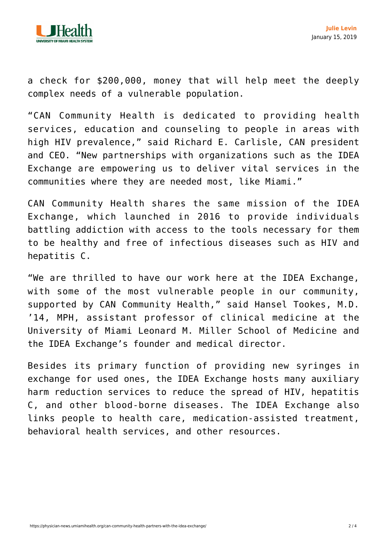

a check for \$200,000, money that will help meet the deeply complex needs of a vulnerable population.

"CAN Community Health is dedicated to providing health services, education and counseling to people in areas with high HIV prevalence," said Richard E. Carlisle, CAN president and CEO. "New partnerships with organizations such as the IDEA Exchange are empowering us to deliver vital services in the communities where they are needed most, like Miami."

CAN Community Health shares the same mission of the IDEA Exchange, which launched in 2016 to provide individuals battling addiction with access to the tools necessary for them to be healthy and free of infectious diseases such as HIV and hepatitis C.

"We are thrilled to have our work here at the IDEA Exchange, with some of the most vulnerable people in our community, supported by CAN Community Health," said Hansel Tookes, M.D. '14, MPH, assistant professor of clinical medicine at the University of Miami Leonard M. Miller School of Medicine and the IDEA Exchange's founder and medical director.

Besides its primary function of providing new syringes in exchange for used ones, the IDEA Exchange hosts many auxiliary harm reduction services to reduce the spread of HIV, hepatitis C, and other blood-borne diseases. The IDEA Exchange also links people to health care, medication-assisted treatment, behavioral health services, and other resources.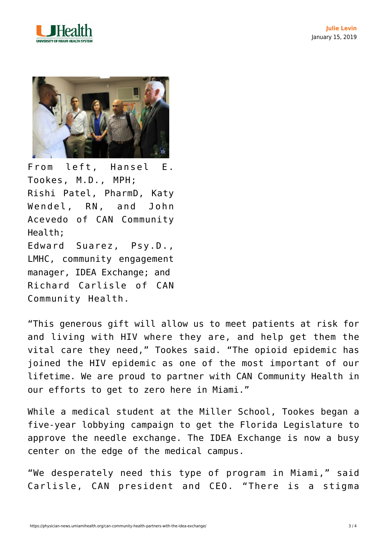



From left, Hansel E. Tookes, M.D., MPH; Rishi Patel, PharmD, Katy Wendel, RN, and John Acevedo of CAN Community Health; Edward Suarez, Psy.D., LMHC, community engagement manager, IDEA Exchange; and Richard Carlisle of CAN Community Health.

"This generous gift will allow us to meet patients at risk for and living with HIV where they are, and help get them the vital care they need," Tookes said. "The opioid epidemic has joined the HIV epidemic as one of the most important of our lifetime. We are proud to partner with CAN Community Health in our efforts to get to zero here in Miami."

While a medical student at the Miller School, Tookes began a five-year lobbying campaign to get the Florida Legislature to approve the needle exchange. The IDEA Exchange is now a busy center on the edge of the medical campus.

"We desperately need this type of program in Miami," said Carlisle, CAN president and CEO. "There is a stigma